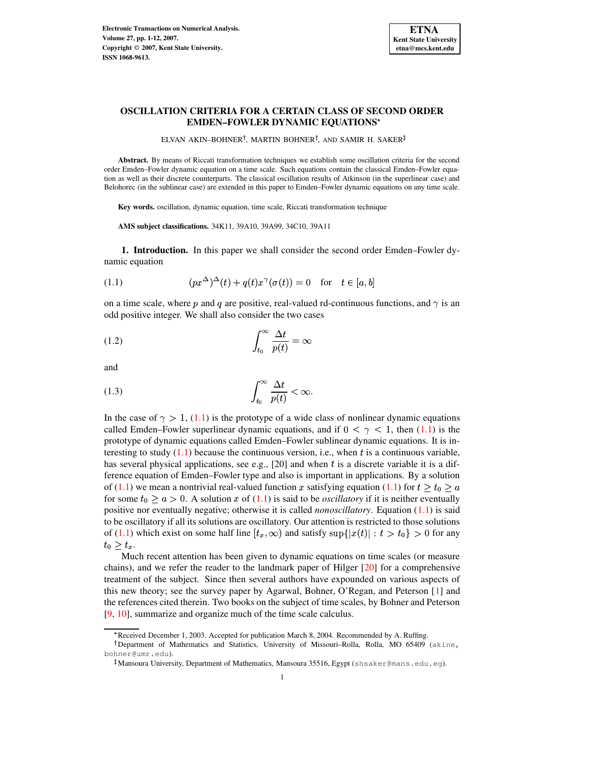

# **OSCILLATION CRITERIA FOR A CERTAIN CLASS OF SECOND ORDER EMDEN–FOWLER DYNAMIC EQUATIONS**

ELVAN AKIN–BOHNER<sup>†</sup>, MARTIN BOHNER<sup>†</sup>, AND SAMIR H. SAKER

**Abstract.** By means of Riccati transformation techniques we establish some oscillation criteria for the second order Emden–Fowler dynamic equation on a time scale. Such equations contain the classical Emden–Fowler equation as well as their discrete counterparts. The classical oscillation results of Atkinson (in the superlinear case) and Belohorec (in the sublinear case) are extended in this paper to Emden–Fowler dynamic equations on any time scale.

**Key words.** oscillation, dynamic equation, time scale, Riccati transformation technique

**AMS subject classifications.** 34K11, 39A10, 39A99, 34C10, 39A11

<span id="page-0-0"></span>**1. Introduction.** In this paper we shall consider the second order Emden–Fowler dynamic equation

(1.1) 
$$
(px^{\Delta})^{\Delta}(t) + q(t)x^{\gamma}(\sigma(t)) = 0 \text{ for } t \in [a, b]
$$

<span id="page-0-1"></span>on a time scale, where p and q are positive, real-valued rd-continuous functions, and  $\gamma$  is an odd positive integer. We shall also consider the two cases

$$
\int_{t_0}^{\infty} \frac{\Delta t}{p(t)} = \infty
$$

<span id="page-0-2"></span>and

$$
\int_{t_0}^{\infty} \frac{\Delta t}{p(t)} < \infty.
$$

In the case of  $\gamma > 1$ , [\(1.1\)](#page-0-0) is the prototype of a wide class of nonlinear dynamic equations called Emden–Fowler superlinear dynamic equations, and if  $0 < \gamma < 1$ , then [\(1.1\)](#page-0-0) is the prototype of dynamic equations called Emden–Fowler sublinear dynamic equations. It is interesting to study  $(1.1)$  because the continuous version, i.e., when t is a continuous variable, has several physical applications, see e.g.,  $[20]$  and when t is a discrete variable it is a difference equation of Emden–Fowler type and also is important in applications. By a solution of [\(1.1\)](#page-0-0) we mean a nontrivial real-valued function x satisfying equation (1.1) for  $t \geq t_0 \geq a$ for some  $t_0 \ge a > 0$ . A solution x of [\(1.1\)](#page-0-0) is said to be *oscillatory* if it is neither eventually positive nor eventually negative; otherwise it is called *nonoscillatory*. Equation [\(1.1\)](#page-0-0) is said to be oscillatory if all its solutions are oscillatory. Our attention is restricted to those solutions of [\(1.1\)](#page-0-0) which exist on some half line  $[t_x, \infty)$  and satisfy  $\sup\{|x(t)| : t > t_0\} > 0$  for any  $t_0 > t_x$ .

Much recent attention has been given to dynamic equations on time scales (or measure chains), and we refer the reader to the landmark paper of Hilger [\[20\]](#page-11-0) for a comprehensive treatment of the subject. Since then several authors have expounded on various aspects of this new theory; see the survey paper by Agarwal, Bohner, O'Regan, and Peterson [\[1\]](#page-10-0) and the references cited therein. Two books on the subject of time scales, by Bohner and Peterson [\[9,](#page-11-1) [10\]](#page-11-2), summarize and organize much of the time scale calculus.

<sup>\*</sup> Received December 1, 2003. Accepted for publication March 8, 2004. Recommended by A. Ruffing.

Department of Mathematics and Statistics, University of Missouri–Rolla, Rolla, MO 65409 (akine, bohner@umr.edu).

<sup>-</sup> Mansoura University, Department of Mathematics, Mansoura 35516, Egypt (shsaker@mans.edu.eg).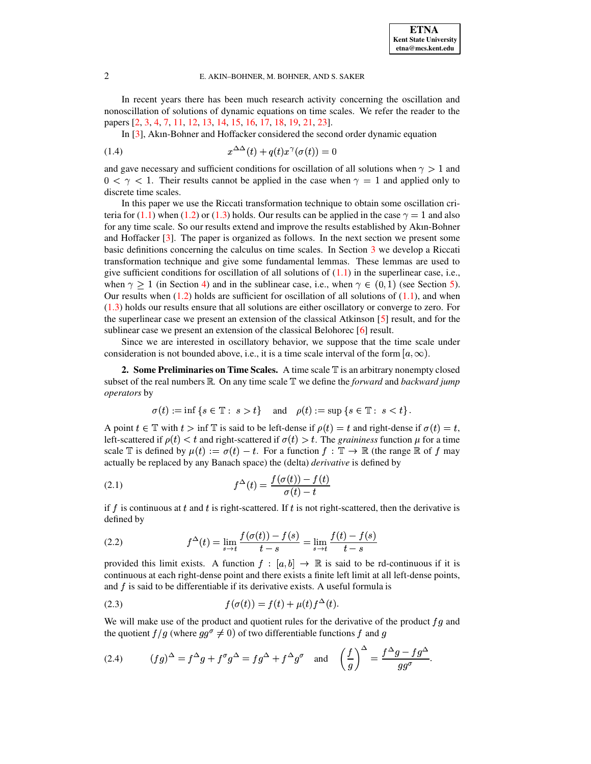### 2 E. AKIN–BOHNER, M. BOHNER, AND S. SAKER

In recent years there has been much research activity concerning the oscillation and nonoscillation of solutions of dynamic equations on time scales. We refer the reader to the papers [\[2,](#page-10-1) [3,](#page-10-2) [4,](#page-10-3) [7,](#page-11-3) [11,](#page-11-4) [12,](#page-11-5) [13,](#page-11-6) [14,](#page-11-7) [15,](#page-11-8) [16,](#page-11-9) [17,](#page-11-10) [18,](#page-11-11) [19,](#page-11-12) [21,](#page-11-13) [23\]](#page-11-14).

In [\[3\]](#page-10-2), Akın-Bohner and Hoffacker considered the second order dynamic equation

$$
(1.4) \t\t x^{\Delta\Delta}(t) + q(t)x^{\gamma}(\sigma(t)) = 0
$$

and gave necessary and sufficient conditions for oscillation of all solutions when  $\gamma > 1$  and  $0 < \gamma < 1$ . Their results cannot be applied in the case when  $\gamma = 1$  and applied only to discrete time scales.

In this paper we use the Riccati transformation technique to obtain some oscillation cri-teria for [\(1.1\)](#page-0-0) when [\(1.2\)](#page-0-1) or [\(1.3\)](#page-0-2) holds. Our results can be applied in the case  $\gamma = 1$  and also for any time scale. So our results extend and improve the results established by Akın-Bohner and Hoffacker [\[3\]](#page-10-2). The paper is organized as follows. In the next section we present some basic definitions concerning the calculus on time scales. In Section [3](#page-2-0) we develop a Riccati transformation technique and give some fundamental lemmas. These lemmas are used to give sufficient conditions for oscillation of all solutions of  $(1.1)$  in the superlinear case, i.e., when  $\gamma \ge 1$  (in Section [4\)](#page-4-0) and in the sublinear case, i.e., when  $\gamma \in (0,1)$  (see Section [5\)](#page-7-0). Our results when  $(1.2)$  holds are sufficient for oscillation of all solutions of  $(1.1)$ , and when [\(1.3\)](#page-0-2) holds our results ensure that all solutions are either oscillatory or converge to zero. For the superlinear case we present an extension of the classical Atkinson [\[5\]](#page-11-15) result, and for the sublinear case we present an extension of the classical Belohorec [\[6\]](#page-11-16) result.

Since we are interested in oscillatory behavior, we suppose that the time scale under consideration is not bounded above, i.e., it is a time scale interval of the form  $[a,\infty)$ .

**2. Some Preliminaries on Time Scales.** A time scale <sup>T</sup> is an arbitrary nonempty closed subset of the real numbers  $\mathbb{R}$ . On any time scale  $\mathbb{T}$  we define the *forward* and *backward jump operators* by

$$
\sigma(t) := \inf \left\{ s \in \mathbb{T} : s > t \right\} \quad \text{and} \quad \rho(t) := \sup \left\{ s \in \mathbb{T} : s < t \right\}.
$$

A point  $t \in \mathbb{T}$  with  $t > \inf \mathbb{T}$  is said to be left-dense if  $\rho(t) = t$  and right-dense if  $\sigma(t) = t$ , left-scattered if  $\rho(t) < t$  and right-scattered if  $\sigma(t) > t$ . The *graininess* function  $\mu$  for a time scale  $\mathbb T$  is defined by  $\mu(t) := \sigma(t) - t$ . For a function  $f : \mathbb T \to \mathbb R$  (the range  $\mathbb R$  of f may actually be replaced by any Banach space) the (delta) *derivative* is defined by

(2.1) 
$$
f^{\Delta}(t) = \frac{f(\sigma(t)) - f(t)}{\sigma(t) - t}
$$

if f is continuous at t and t is right-scattered. If t is not right-scattered, then the derivative is defined by

(2.2) 
$$
f^{\Delta}(t) = \lim_{s \to t} \frac{f(\sigma(t)) - f(s)}{t - s} = \lim_{s \to t} \frac{f(t) - f(s)}{t - s}
$$

provided this limit exists. A function  $f: [a, b] \to \mathbb{R}$  is said to be rd-continuous if it is continuous at each right-dense point and there exists a finite left limit at all left-dense points, and  $f$  is said to be differentiable if its derivative exists. A useful formula is

<span id="page-1-0"></span>(2.3) 
$$
f(\sigma(t)) = f(t) + \mu(t)f^{\Delta}(t).
$$

We will make use of the product and quotient rules for the derivative of the product  $fg$  and the quotient  $f/g$  (where  $gg^{\sigma} \neq 0$ ) of two differentiable functions f and g

<span id="page-1-1"></span>(2.4) 
$$
(fg)^{\Delta} = f^{\Delta}g + f^{\sigma}g^{\Delta} = fg^{\Delta} + f^{\Delta}g^{\sigma} \text{ and } \left(\frac{f}{g}\right)^{\Delta} = \frac{f^{\Delta}g - fg^{\Delta}}{gg^{\sigma}}.
$$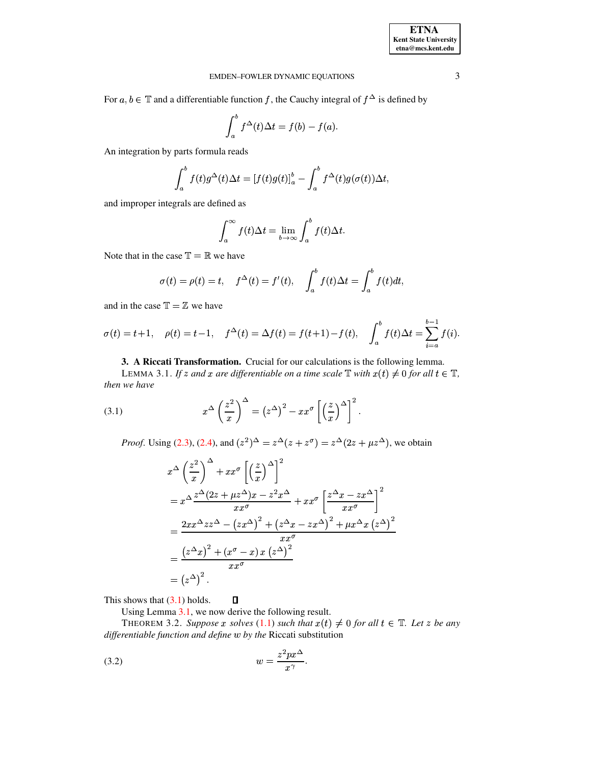## EMDEN–FOWLER DYNAMIC EQUATIONS 3

For  $a, b \in \mathbb{T}$  and a differentiable function f, the Cauchy integral of  $f^{\Delta}$  is defined by

$$
\int_a^b f^{\Delta}(t) \Delta t = f(b) - f(a).
$$

An integration by parts formula reads

$$
\int_a^b f(t)g^{\Delta}(t)\Delta t = [f(t)g(t)]_a^b - \int_a^b f^{\Delta}(t)g(\sigma(t))\Delta t,
$$

and improper integrals are defined as

$$
\int_{a}^{\infty} f(t)\Delta t = \lim_{b \to \infty} \int_{a}^{b} f(t)\Delta t.
$$

Note that in the case  $\mathbb{T} = \mathbb{R}$  we have

$$
\sigma(t) = \rho(t) = t, \quad f^{\Delta}(t) = f'(t), \quad \int_a^b f(t) \Delta t = \int_a^b f(t) dt,
$$

and in the case  $\mathbb{T} = \mathbb{Z}$  we have

$$
\sigma(t) = t + 1, \quad \rho(t) = t - 1, \quad f^{\Delta}(t) = \Delta f(t) = f(t + 1) - f(t), \quad \int_{a}^{b} f(t) \Delta t = \sum_{i=a}^{b-1} f(i).
$$

**3. A Riccati Transformation.** Crucial for our calculations is the following lemma.

<span id="page-2-2"></span><span id="page-2-1"></span><span id="page-2-0"></span>LEMMA 3.1. If  $z$  and  $x$  are differentiable on a time scale  $\mathbb{T}$  with  $x(t) \neq 0$  for all  $t \in \mathbb{T}$ , *then we have*

(3.1) 
$$
x^{\Delta} \left(\frac{z^2}{x}\right)^{\Delta} = (z^{\Delta})^2 - xx^{\sigma} \left[\left(\frac{z}{x}\right)^{\Delta}\right]^2.
$$

*Proof.* Using [\(2.3\)](#page-1-0), [\(2.4\)](#page-1-1), and  $(z^2)^{\Delta} = z^{\Delta}(z + z^{\sigma}) = z^{\Delta}(2z + \mu z^{\Delta})$ , we obtain

$$
x^{\Delta} \left(\frac{z^2}{x}\right)^{\Delta} + xx^{\sigma} \left[\left(\frac{z}{x}\right)^{\Delta}\right]^2
$$
  
=  $x^{\Delta} \frac{z^{\Delta}(2z + \mu z^{\Delta})x - z^2 x^{\Delta}}{xx^{\sigma}} + xx^{\sigma} \left[\frac{z^{\Delta}x - zx^{\Delta}}{xx^{\sigma}}\right]^2$   
=  $\frac{2xx^{\Delta}zz^{\Delta} - (zx^{\Delta})^2 + (z^{\Delta}x - zx^{\Delta})^2 + \mu x^{\Delta}x (z^{\Delta})^2}{xx^{\sigma}}$   
=  $\frac{(z^{\Delta}x)^2 + (x^{\sigma} - x) x (z^{\Delta})^2}{xx^{\sigma}}$   
=  $(z^{\Delta})^2$ .

This shows that  $(3.1)$  holds.  $\Box$ 

<span id="page-2-4"></span>Using Lemma [3.1,](#page-2-2) we now derive the following result.

<span id="page-2-3"></span>THEOREM 3.2. Suppose x solves [\(1.1\)](#page-0-0) such that  $x(t) \neq 0$  for all  $t \in \mathbb{T}$ . Let z be any *differentiable function and define* ¥ *by the* Riccati substitution

$$
(3.2) \t\t\t w = \frac{z^2 p x^{\Delta}}{x^{\gamma}}.
$$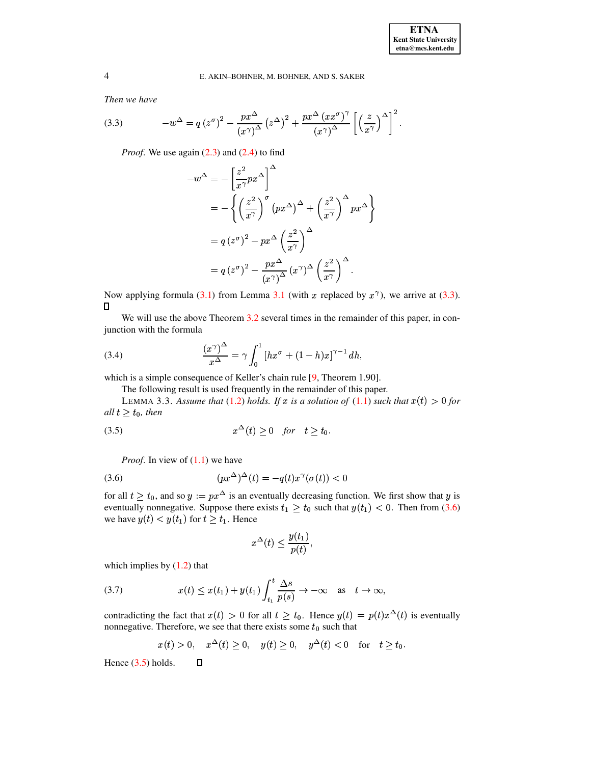<span id="page-3-0"></span>*Then we have*

(3.3) 
$$
-w^{\Delta} = q(z^{\sigma})^2 - \frac{px^{\Delta}}{(x^{\gamma})^{\Delta}} (z^{\Delta})^2 + \frac{px^{\Delta} (xx^{\sigma})^{\gamma}}{(x^{\gamma})^{\Delta}} \left[ \left( \frac{z}{x^{\gamma}} \right)^{\Delta} \right]^2.
$$

*Proof.* We use again [\(2.3\)](#page-1-0) and [\(2.4\)](#page-1-1) to find

$$
-w^{\Delta} = -\left[\frac{z^2}{x^{\gamma}}px^{\Delta}\right]^{\Delta}
$$
  
=  $-\left\{\left(\frac{z^2}{x^{\gamma}}\right)^{\sigma}(px^{\Delta})^{\Delta} + \left(\frac{z^2}{x^{\gamma}}\right)^{\Delta}px^{\Delta}\right\}$   
=  $q(z^{\sigma})^2 - px^{\Delta}\left(\frac{z^2}{x^{\gamma}}\right)^{\Delta}$   
=  $q(z^{\sigma})^2 - \frac{px^{\Delta}}{(x^{\gamma})^{\Delta}}(x^{\gamma})^{\Delta}\left(\frac{z^2}{x^{\gamma}}\right)^{\Delta}$ .

Now applying formula [\(3.1\)](#page-2-1) from Lemma [3.1](#page-2-2) (with x replaced by  $x^{\gamma}$ ), we arrive at [\(3.3\)](#page-3-0).  $\Box$ 

<span id="page-3-4"></span>We will use the above Theorem [3.2](#page-2-3) several times in the remainder of this paper, in conjunction with the formula

(3.4) 
$$
\frac{(x^{\gamma})^{\Delta}}{x^{\Delta}} = \gamma \int_0^1 [hx^{\sigma} + (1-h)x]^{\gamma-1} dh,
$$

<span id="page-3-3"></span>which is a simple consequence of Keller's chain rule [\[9,](#page-11-1) Theorem 1.90].

The following result is used frequently in the remainder of this paper.

<span id="page-3-2"></span>LEMMA 3.3. Assume that [\(1.2\)](#page-0-1) holds. If x is a solution of [\(1.1\)](#page-0-0) such that  $x(t) > 0$  for  $all t > t_0$ , *then* 

$$
(3.5) \t\t x^{\Delta}(t) \ge 0 \t \text{for} \t t \ge t_0.
$$

<span id="page-3-1"></span>*Proof.* In view of  $(1.1)$  we have

$$
(3.6) \qquad (px^{\Delta})^{\Delta}(t) = -q(t)x^{\gamma}(\sigma(t)) < 0
$$

for all  $t \geq t_0$ , and so  $y := px^{\Delta}$  is an eventually decreasing function. We first show that y is eventually nonnegative. Suppose there exists  $t_1 \geq t_0$  such that  $y(t_1) < 0$ . Then from [\(3.6\)](#page-3-1) we have  $y(t) < y(t_1)$  for  $t \ge t_1$ . Hence

$$
x^{\Delta}(t) \le \frac{y(t_1)}{p(t)},
$$

which implies by  $(1.2)$  that

(3.7) 
$$
x(t) \leq x(t_1) + y(t_1) \int_{t_1}^t \frac{\Delta s}{p(s)} \to -\infty \quad \text{as} \quad t \to \infty,
$$

contradicting the fact that  $x(t) > 0$  for all  $t \geq t_0$ . Hence  $y(t) = p(t)x^{\Delta}(t)$  is eventually nonnegative. Therefore, we see that there exists some  $t_0$  such that

$$
x(t) > 0
$$
,  $x^{\Delta}(t) \ge 0$ ,  $y(t) \ge 0$ ,  $y^{\Delta}(t) < 0$  for  $t \ge t_0$ .

Hence  $(3.5)$  holds.

 $\Box$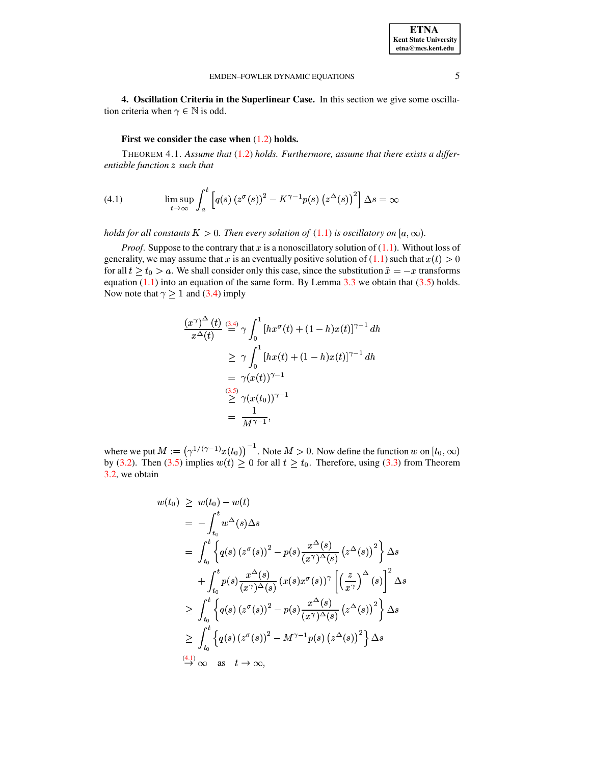#### EMDEN-FOWLER DYNAMIC EQUATIONS

# <span id="page-4-1"></span>First we consider the case when  $(1.2)$  holds.

<span id="page-4-2"></span><span id="page-4-0"></span>THEOREM 4.1. Assume that (1.2) holds. Furthermore, assume that there exists a differentiable function z such that

(4.1) 
$$
\limsup_{t \to \infty} \int_a^t \left[ q(s) \left( z^{\sigma}(s) \right)^2 - K^{\gamma - 1} p(s) \left( z^{\Delta}(s) \right)^2 \right] \Delta s = \infty
$$

holds for all constants  $K > 0$ . Then every solution of (1.1) is oscillatory on  $[a, \infty)$ .

*Proof.* Suppose to the contrary that x is a nonoscillatory solution of  $(1.1)$ . Without loss of generality, we may assume that x is an eventually positive solution of (1.1) such that  $x(t) > 0$ for all  $t \ge t_0 > a$ . We shall consider only this case, since the substitution  $\tilde{x} = -x$  transforms equation  $(1.1)$  into an equation of the same form. By Lemma 3.3 we obtain that  $(3.5)$  holds. Now note that  $\gamma \ge 1$  and (3.4) imply

$$
\frac{(x^{\gamma})^{\Delta}(t)}{x^{\Delta}(t)} \stackrel{(3.4)}{=} \gamma \int_0^1 [hx^{\sigma}(t) + (1-h)x(t)]^{\gamma-1} dh
$$
  
\n
$$
\geq \gamma \int_0^1 [hx(t) + (1-h)x(t)]^{\gamma-1} dh
$$
  
\n
$$
= \gamma (x(t))^{\gamma-1}
$$
  
\n
$$
\stackrel{(3.5)}{\geq} \gamma (x(t_0))^{\gamma-1}
$$
  
\n
$$
= \frac{1}{M^{\gamma-1}},
$$

where we put  $M := (\gamma^{1/(\gamma-1)}x(t_0))^{-1}$ . Note  $M > 0$ . Now define the function w on  $[t_0, \infty)$ by (3.2). Then (3.5) implies  $w(t) \ge 0$  for all  $t \ge t_0$ . Therefore, using (3.3) from Theorem 3.2, we obtain

$$
w(t_0) \geq w(t_0) - w(t)
$$
  
\n
$$
= -\int_{t_0}^t w^{\Delta}(s) \Delta s
$$
  
\n
$$
= \int_{t_0}^t \left\{ q(s) \left( z^{\sigma}(s) \right)^2 - p(s) \frac{x^{\Delta}(s)}{(x^{\gamma})^{\Delta}(s)} \left( z^{\Delta}(s) \right)^2 \right\} \Delta s
$$
  
\n
$$
+ \int_{t_0}^t p(s) \frac{x^{\Delta}(s)}{(x^{\gamma})^{\Delta}(s)} \left( x(s) x^{\sigma}(s) \right)^{\gamma} \left[ \left( \frac{z}{x^{\gamma}} \right)^{\Delta}(s) \right]^2 \Delta s
$$
  
\n
$$
\geq \int_{t_0}^t \left\{ q(s) \left( z^{\sigma}(s) \right)^2 - p(s) \frac{x^{\Delta}(s)}{(x^{\gamma})^{\Delta}(s)} \left( z^{\Delta}(s) \right)^2 \right\} \Delta s
$$
  
\n
$$
\geq \int_{t_0}^t \left\{ q(s) \left( z^{\sigma}(s) \right)^2 - M^{\gamma-1} p(s) \left( z^{\Delta}(s) \right)^2 \right\} \Delta s
$$
  
\n
$$
\stackrel{(4.1)}{\rightarrow} \infty \text{ as } t \rightarrow \infty,
$$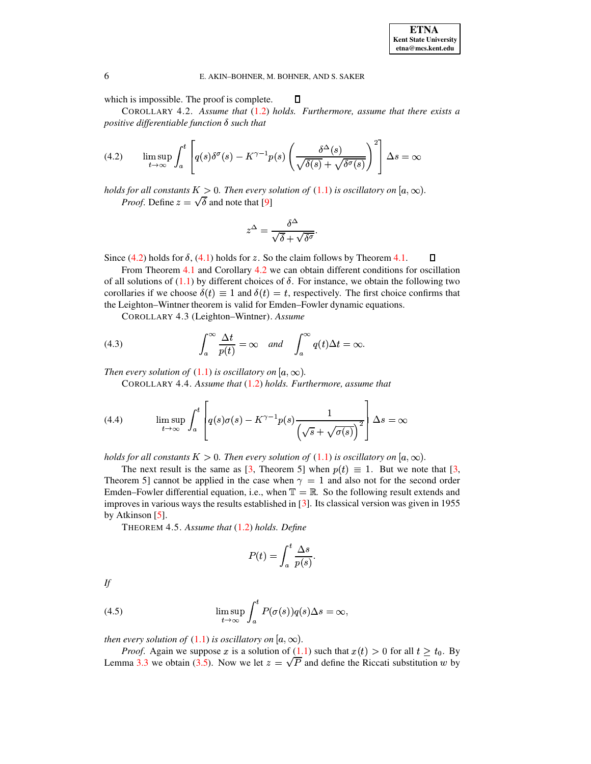### <span id="page-5-0"></span>E. AKIN-BOHNER, M. BOHNER, AND S. SAKER

 $\Box$ 

<span id="page-5-1"></span>which is impossible. The proof is complete.

COROLLARY 4.2. Assume that (1.2) holds. Furthermore, assume that there exists a positive differentiable function  $\delta$  such that

(4.2) 
$$
\limsup_{t \to \infty} \int_a^t \left[ q(s) \delta^{\sigma}(s) - K^{\gamma - 1} p(s) \left( \frac{\delta^{\Delta}(s)}{\sqrt{\delta(s)} + \sqrt{\delta^{\sigma}(s)}} \right)^2 \right] \Delta s = \infty
$$

holds for all constants  $K > 0$ . Then every solution of (1.1) is oscillatory on [a,  $\infty$ ). *Proof.* Define  $z = \sqrt{\delta}$  and note that [9]

$$
z^{\Delta} = \frac{\delta^{\Delta}}{\sqrt{\delta} + \sqrt{\delta^{\sigma}}}.
$$

Since  $(4.2)$  holds for  $\delta$ ,  $(4.1)$  holds for z. So the claim follows by Theorem 4.1.  $\Box$ 

From Theorem 4.1 and Corollary 4.2 we can obtain different conditions for oscillation of all solutions of (1.1) by different choices of  $\delta$ . For instance, we obtain the following two corollaries if we choose  $\delta(t) \equiv 1$  and  $\delta(t) = t$ , respectively. The first choice confirms that the Leighton–Wintner theorem is valid for Emden–Fowler dynamic equations.

COROLLARY 4.3 (Leighton-Wintner). Assume

(4.3) 
$$
\int_{a}^{\infty} \frac{\Delta t}{p(t)} = \infty \quad and \quad \int_{a}^{\infty} q(t) \Delta t = \infty
$$

Then every solution of  $(1.1)$  is oscillatory on  $[a,\infty)$ .

COROLLARY 4.4. Assume that  $(1.2)$  holds. Furthermore, assume that

(4.4) 
$$
\limsup_{t \to \infty} \int_a^t \left[ q(s)\sigma(s) - K^{\gamma - 1}p(s)\frac{1}{\left(\sqrt{s} + \sqrt{\sigma(s)}\right)^2} \right] \Delta s = \infty
$$

holds for all constants  $K > 0$ . Then every solution of (1.1) is oscillatory on  $[a, \infty)$ .

<span id="page-5-3"></span>The next result is the same as [3, Theorem 5] when  $p(t) \equiv 1$ . But we note that [3, Theorem 5] cannot be applied in the case when  $\gamma = 1$  and also not for the second order Emden–Fowler differential equation, i.e., when  $\mathbb{T} = \mathbb{R}$ . So the following result extends and improves in various ways the results established in  $[3]$ . Its classical version was given in 1955 by Atkinson  $[5]$ .

THEOREM 4.5. Assume that  $(1.2)$  holds. Define

$$
P(t) = \int_a^t \frac{\Delta s}{p(s)}.
$$

<span id="page-5-2"></span>If

(4.5) 
$$
\limsup_{t \to \infty} \int_a^t P(\sigma(s))q(s)\Delta s = \infty,
$$

then every solution of (1.1) is oscillatory on [a,  $\infty$ ).

*Proof.* Again we suppose x is a solution of (1.1) such that  $x(t) > 0$  for all  $t \ge t_0$ . By Lemma 3.3 we obtain (3.5). Now we let  $z = \sqrt{P}$  and define the Riccati substitution w by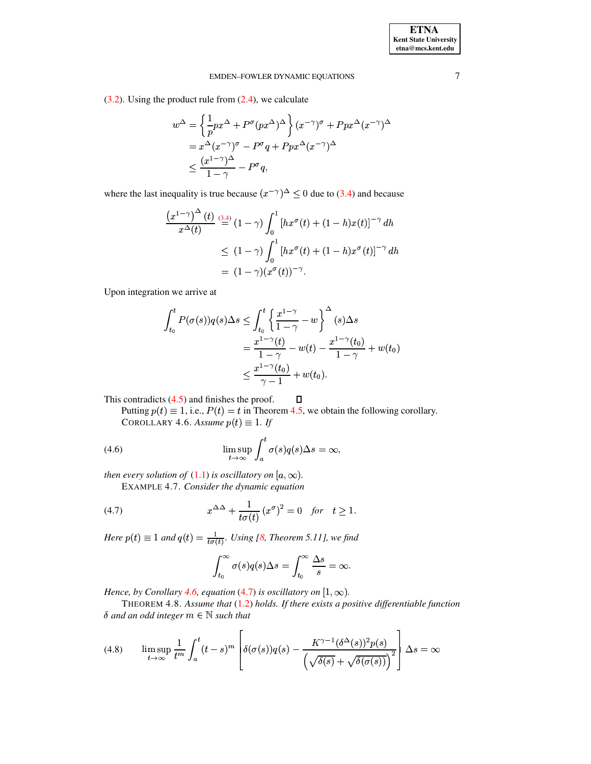### EMDEN-FOWLER DYNAMIC EQUATIONS

 $(3.2)$ . Using the product rule from  $(2.4)$ , we calculate

$$
w^{\Delta} = \left\{ \frac{1}{p} p x^{\Delta} + P^{\sigma} (p x^{\Delta})^{\Delta} \right\} (x^{-\gamma})^{\sigma} + P p x^{\Delta} (x^{-\gamma})^{\Delta}
$$
  
=  $x^{\Delta} (x^{-\gamma})^{\sigma} - P^{\sigma} q + P p x^{\Delta} (x^{-\gamma})^{\Delta}$   
 $\leq \frac{(x^{1-\gamma})^{\Delta}}{1-\gamma} - P^{\sigma} q,$ 

where the last inequality is true because  $(x^{-\gamma})^{\Delta} \leq 0$  due to (3.4) and because

$$
\frac{\left(x^{1-\gamma}\right)^{\Delta}(t)}{x^{\Delta}(t)} \stackrel{(3.4)}{=} (1-\gamma) \int_0^1 \left[ hx^{\sigma}(t) + (1-h)x(t) \right]^{-\gamma} dh
$$
  

$$
\leq (1-\gamma) \int_0^1 \left[ hx^{\sigma}(t) + (1-h)x^{\sigma}(t) \right]^{-\gamma} dh
$$
  

$$
= (1-\gamma)(x^{\sigma}(t))^{-\gamma}.
$$

Upon integration we arrive at

$$
\int_{t_0}^t P(\sigma(s))q(s)\Delta s \le \int_{t_0}^t \left\{ \frac{x^{1-\gamma}}{1-\gamma} - w \right\}^{\Delta}(s)\Delta s
$$
  
= 
$$
\frac{x^{1-\gamma}(t)}{1-\gamma} - w(t) - \frac{x^{1-\gamma}(t_0)}{1-\gamma} + w(t_0)
$$
  

$$
\le \frac{x^{1-\gamma}(t_0)}{\gamma-1} + w(t_0).
$$

<span id="page-6-0"></span>This contradicts 
$$
(4.5)
$$
 and finishes the proof.

Putting  $p(t) \equiv 1$ , i.e.,  $P(t) = t$  in Theorem 4.5, we obtain the following corollary. COROLLARY 4.6. Assume  $p(t) \equiv 1$ . If

 $\Box$ 

(4.6) 
$$
\limsup_{t \to \infty} \int_a^t \sigma(s) q(s) \Delta s = \infty,
$$

<span id="page-6-3"></span>then every solution of (1.1) is oscillatory on [a,  $\infty$ ).

EXAMPLE 4.7. Consider the dynamic equation

(4.7) 
$$
x^{\Delta\Delta} + \frac{1}{t\sigma(t)} (x^{\sigma})^2 = 0 \quad \text{for} \quad t \ge 1.
$$

Here  $p(t) \equiv 1$  and  $q(t) = \frac{1}{t\sigma(t)}$ . Using [8, Theorem 5.11], we find

<span id="page-6-1"></span>
$$
\int_{t_0}^{\infty} \sigma(s)q(s)\Delta s = \int_{t_0}^{\infty} \frac{\Delta s}{s} = \infty.
$$

Hence, by Corollary 4.6, equation (4.7) is oscillatory on  $[1, \infty)$ .

<span id="page-6-2"></span> $\overline{a}$ 

THEOREM 4.8. Assume that  $(1.2)$  holds. If there exists a positive differentiable function  $\delta$  and an odd integer  $m \in \mathbb{N}$  such that

 $\overline{a}$ 

(4.8) 
$$
\limsup_{t \to \infty} \frac{1}{t^m} \int_a^t (t-s)^m \left[ \delta(\sigma(s))q(s) - \frac{K^{\gamma-1}(\delta^{\Delta}(s))^2 p(s)}{\left(\sqrt{\delta(s)} + \sqrt{\delta(\sigma(s))}\right)^2} \right] \Delta s = \infty
$$

 $\overline{7}$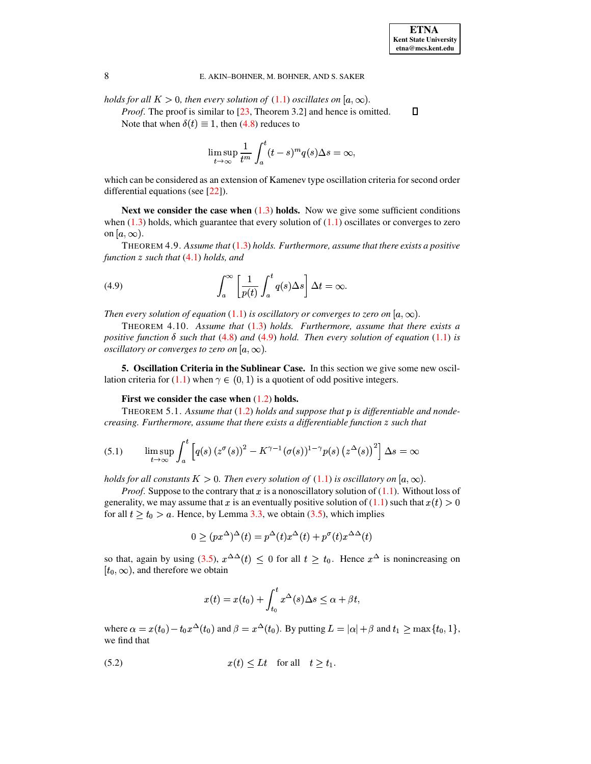$\Box$ 

### 8 E. AKIN–BOHNER, M. BOHNER, AND S. SAKER

*holds* for all  $K > 0$ , then every solution of  $(1.1)$  oscillates on  $[a, \infty)$ .

*Proof.* The proof is similar to [\[23,](#page-11-14) Theorem 3.2] and hence is omitted. Note that when  $\delta(t) \equiv 1$ , then [\(4.8\)](#page-6-2) reduces to

$$
\limsup_{t \to \infty} \frac{1}{t^m} \int_a^t (t-s)^m q(s) \Delta s = \infty,
$$

which can be considered as an extension of Kamenev type oscillation criteria for second order differential equations (see [\[22\]](#page-11-18)).

**Next we consider the case when** [\(1.3\)](#page-0-2) **holds.** Now we give some sufficient conditions when  $(1.3)$  holds, which guarantee that every solution of  $(1.1)$  oscillates or converges to zero on  $[a,\infty)$ .

<span id="page-7-1"></span>THEOREM 4.9. *Assume that* [\(1.3\)](#page-0-2) *holds. Furthermore, assume that there exists a positive function such that* [\(4.1\)](#page-4-1) *holds, and*

(4.9) 
$$
\int_{a}^{\infty} \left[ \frac{1}{p(t)} \int_{a}^{t} q(s) \Delta s \right] \Delta t = \infty.
$$

*Then every solution of equation* [\(1.1\)](#page-0-0) *is oscillatory or converges to zero on*  $[a, \infty)$ *.* 

THEOREM 4.10. *Assume that* [\(1.3\)](#page-0-2) *holds. Furthermore, assume that there exists a positive* function  $\delta$  *such* that [\(4.8\)](#page-6-2) and [\(4.9\)](#page-7-1) hold. Then every solution of equation [\(1.1\)](#page-0-0) *is oscillatory or converges to zero on*  $[a, \infty)$ .

<span id="page-7-0"></span>**5. Oscillation Criteria in the Sublinear Case.** In this section we give some new oscil-lation criteria for [\(1.1\)](#page-0-0) when  $\gamma \in (0, 1)$  is a quotient of odd positive integers.

### **First we consider the case when** [\(1.2\)](#page-0-1) **holds.**

<span id="page-7-4"></span>THEOREM 5.1. *Assume that* [\(1.2\)](#page-0-1) *holds and suppose that is differentiable and nondecreasing. Furthermore, assume that there exists a differentiable function such that*

(5.1) 
$$
\limsup_{t \to \infty} \int_a^t \left[ q(s) \left( z^{\sigma}(s) \right)^2 - K^{\gamma - 1} (\sigma(s))^{1 - \gamma} p(s) \left( z^{\Delta}(s) \right)^2 \right] \Delta s = \infty
$$

*holds* for all constants  $K > 0$ . Then every solution of  $(1.1)$  is oscillatory on  $[a, \infty)$ .

*Proof.* Suppose to the contrary that  $x$  is a nonoscillatory solution of  $(1.1)$ . Without loss of generality, we may assume that x is an eventually positive solution of  $(1.1)$  such that  $x(t) > 0$ for all  $t \ge t_0 > a$ . Hence, by Lemma [3.3,](#page-3-3) we obtain [\(3.5\)](#page-3-2), which implies

<span id="page-7-3"></span>
$$
0 \ge (px^{\Delta})^{\Delta}(t) = p^{\Delta}(t)x^{\Delta}(t) + p^{\sigma}(t)x^{\Delta\Delta}(t)
$$

so that, again by using [\(3.5\)](#page-3-2),  $x^{\Delta\Delta}(t) \leq 0$  for all  $t \geq t_0$ . Hence  $x^{\Delta}$  is nonincreasing on  $[t_0, \infty)$ , and therefore we obtain

$$
x(t) = x(t_0) + \int_{t_0}^t x^{\Delta}(s) \Delta s \le \alpha + \beta t,
$$

<span id="page-7-2"></span>where  $\alpha = x(t_0) - t_0 x^{\Delta}(t_0)$  and  $\beta = x^{\Delta}(t_0)$ . By putting  $L = |\alpha| + \beta$  and  $t_1 \ge \max\{t_0, 1\}$ , we find that

$$
(5.2) \t\t x(t) \le Lt \t\t for all \t t \ge t_1.
$$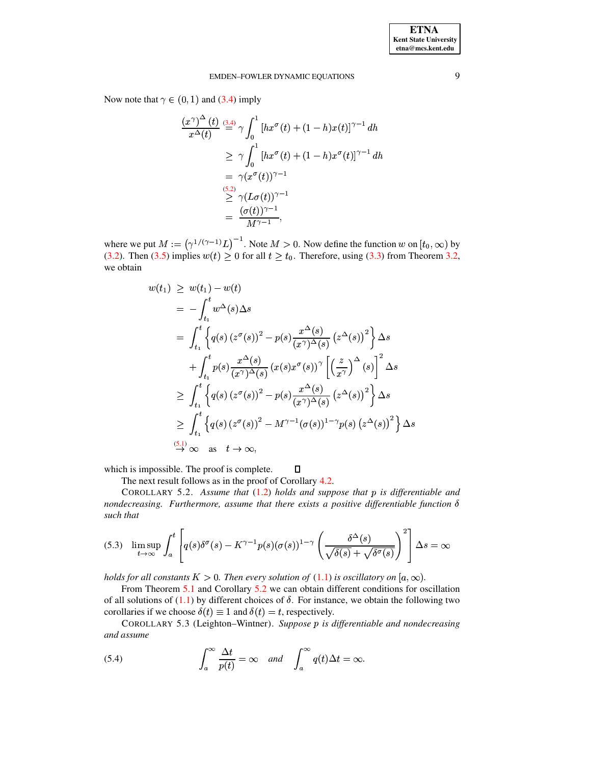### EMDEN-FOWLER DYNAMIC EQUATIONS

Now note that  $\gamma \in (0,1)$  and (3.4) imply

$$
\frac{(x^{\gamma})^{\Delta}(t)}{x^{\Delta}(t)} \stackrel{(3.4)}{=} \gamma \int_0^1 [hx^{\sigma}(t) + (1-h)x(t)]^{\gamma-1} dh
$$
  
\n
$$
\geq \gamma \int_0^1 [hx^{\sigma}(t) + (1-h)x^{\sigma}(t)]^{\gamma-1} dh
$$
  
\n
$$
= \gamma (x^{\sigma}(t))^{\gamma-1}
$$
  
\n
$$
\stackrel{(5.2)}{\geq} \gamma (L\sigma(t))^{\gamma-1}
$$
  
\n
$$
= \frac{(\sigma(t))^{\gamma-1}}{M^{\gamma-1}},
$$

where we put  $M := (\gamma^{1/(\gamma-1)}L)^{-1}$ . Note  $M > 0$ . Now define the function w on  $[t_0, \infty)$  by (3.2). Then (3.5) implies  $w(t) \ge 0$  for all  $t \ge t_0$ . Therefore, using (3.3) from Theorem 3.2, we obtain

$$
w(t_1) \geq w(t_1) - w(t)
$$
  
\n
$$
= -\int_{t_1}^t w^{\Delta}(s) \Delta s
$$
  
\n
$$
= \int_{t_1}^t \left\{ q(s) \left( z^{\sigma}(s) \right)^2 - p(s) \frac{x^{\Delta}(s)}{(x^{\gamma})^{\Delta}(s)} \left( z^{\Delta}(s) \right)^2 \right\} \Delta s
$$
  
\n
$$
+ \int_{t_1}^t p(s) \frac{x^{\Delta}(s)}{(x^{\gamma})^{\Delta}(s)} \left( x(s) x^{\sigma}(s) \right)^{\gamma} \left[ \left( \frac{z}{x^{\gamma}} \right)^{\Delta}(s) \right]^2 \Delta s
$$
  
\n
$$
\geq \int_{t_1}^t \left\{ q(s) \left( z^{\sigma}(s) \right)^2 - p(s) \frac{x^{\Delta}(s)}{(x^{\gamma})^{\Delta}(s)} \left( z^{\Delta}(s) \right)^2 \right\} \Delta s
$$
  
\n
$$
\geq \int_{t_1}^t \left\{ q(s) \left( z^{\sigma}(s) \right)^2 - M^{\gamma - 1}(\sigma(s))^{1 - \gamma} p(s) \left( z^{\Delta}(s) \right)^2 \right\} \Delta s
$$
  
\n
$$
\stackrel{(5.1)}{\rightarrow} \infty \text{ as } t \rightarrow \infty,
$$

 $\Box$ which is impossible. The proof is complete.

The next result follows as in the proof of Corollary 4.2.

<span id="page-8-0"></span>COROLLARY 5.2. Assume that  $(1.2)$  holds and suppose that  $p$  is differentiable and nondecreasing. Furthermore, assume that there exists a positive differentiable function  $\delta$ such that

$$
(5.3)\quad \limsup_{t\to\infty}\int_a^t \left[q(s)\delta^{\sigma}(s) - K^{\gamma-1}p(s)(\sigma(s))^{1-\gamma}\left(\frac{\delta^{\Delta}(s)}{\sqrt{\delta(s)} + \sqrt{\delta^{\sigma}(s)}}\right)^2\right]\Delta s = \infty
$$

holds for all constants  $K > 0$ . Then every solution of  $(1.1)$  is oscillatory on  $[a, \infty)$ .

From Theorem 5.1 and Corollary 5.2 we can obtain different conditions for oscillation of all solutions of (1.1) by different choices of  $\delta$ . For instance, we obtain the following two corollaries if we choose  $\delta(t) \equiv 1$  and  $\delta(t) = t$ , respectively.

COROLLARY 5.3 (Leighton–Wintner). Suppose  $p$  is differentiable and nondecreasing and assume

(5.4) 
$$
\int_{a}^{\infty} \frac{\Delta t}{p(t)} = \infty \quad and \quad \int_{a}^{\infty} q(t) \Delta t = \infty.
$$

9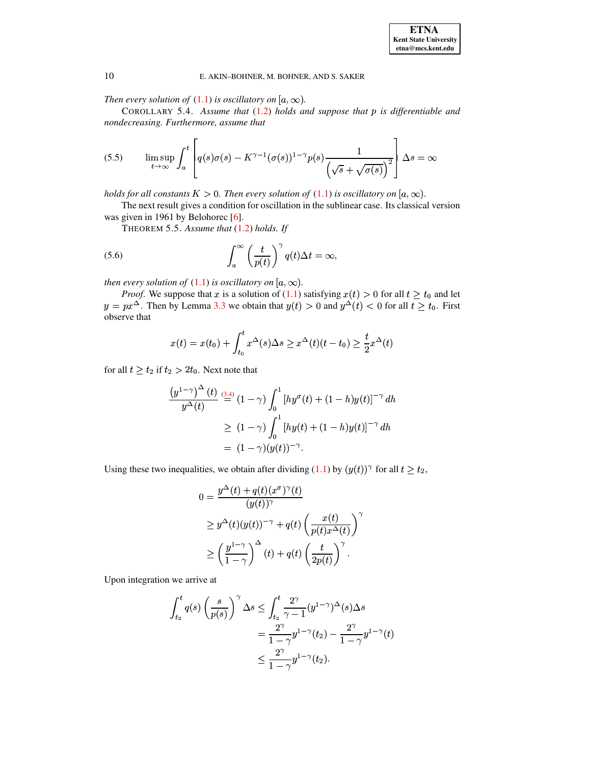Then every solution of  $(1.1)$  is oscillatory on  $[a, \infty)$ .

COROLLARY 5.4. Assume that (1.2) holds and suppose that p is differentiable and nondecreasing. Furthermore, assume that

(5.5) 
$$
\limsup_{t \to \infty} \int_a^t \left[ q(s) \sigma(s) - K^{\gamma - 1} (\sigma(s))^{1 - \gamma} p(s) \frac{1}{\left(\sqrt{s} + \sqrt{\sigma(s)}\right)^2} \right] \Delta s = \infty
$$

holds for all constants  $K > 0$ . Then every solution of  $(1.1)$  is oscillatory on  $[a, \infty)$ .

<span id="page-9-1"></span>The next result gives a condition for oscillation in the sublinear case. Its classical version was given in 1961 by Belohorec [6].

<span id="page-9-0"></span>THEOREM 5.5. Assume that (1.2) holds. If

(5.6) 
$$
\int_{a}^{\infty} \left(\frac{t}{p(t)}\right)^{\gamma} q(t) \Delta t = \infty,
$$

then every solution of  $(1.1)$  is oscillatory on  $[a,\infty)$ .

*Proof.* We suppose that x is a solution of (1.1) satisfying  $x(t) > 0$  for all  $t \ge t_0$  and let  $y = px^{\Delta}$ . Then by Lemma 3.3 we obtain that  $y(t) > 0$  and  $y^{\Delta}(t) < 0$  for all  $t \ge t_0$ . First observe that

$$
x(t) = x(t_0) + \int_{t_0}^t x^{\Delta}(s) \Delta s \geq x^{\Delta}(t)(t - t_0) \geq \frac{t}{2}x^{\Delta}(t)
$$

for all  $t \ge t_2$  if  $t_2 > 2t_0$ . Next note that

$$
\frac{\left(y^{1-\gamma}\right)^{\Delta}(t)}{y^{\Delta}(t)} \stackrel{(3,4)}{=} (1-\gamma) \int_0^1 \left[ hy^{\sigma}(t) + (1-h)y(t) \right]^{-\gamma} dk
$$
  
\n
$$
\geq (1-\gamma) \int_0^1 \left[ hy(t) + (1-h)y(t) \right]^{-\gamma} dh
$$
  
\n
$$
= (1-\gamma)(y(t))^{-\gamma}.
$$

Using these two inequalities, we obtain after dividing  $(1.1)$  by  $(y(t))^{\gamma}$  for all  $t \ge t_2$ ,

$$
0 = \frac{y^{\Delta}(t) + q(t)(x^{\sigma})^{\gamma}(t)}{(y(t))^{\gamma}}
$$
  
\n
$$
\geq y^{\Delta}(t)(y(t))^{-\gamma} + q(t) \left(\frac{x(t)}{p(t)x^{\Delta}(t)}\right)^{\gamma}
$$
  
\n
$$
\geq \left(\frac{y^{1-\gamma}}{1-\gamma}\right)^{\Delta}(t) + q(t) \left(\frac{t}{2p(t)}\right)^{\gamma}.
$$

Upon integration we arrive at

$$
\int_{t_2}^t q(s) \left(\frac{s}{p(s)}\right)^\gamma \Delta s \le \int_{t_2}^t \frac{2^\gamma}{\gamma - 1} (y^{1-\gamma})^\Delta(s) \Delta s
$$
  
= 
$$
\frac{2^\gamma}{1 - \gamma} y^{1-\gamma} (t_2) - \frac{2^\gamma}{1 - \gamma} y^{1-\gamma} (t)
$$
  

$$
\le \frac{2^\gamma}{1 - \gamma} y^{1-\gamma} (t_2).
$$

10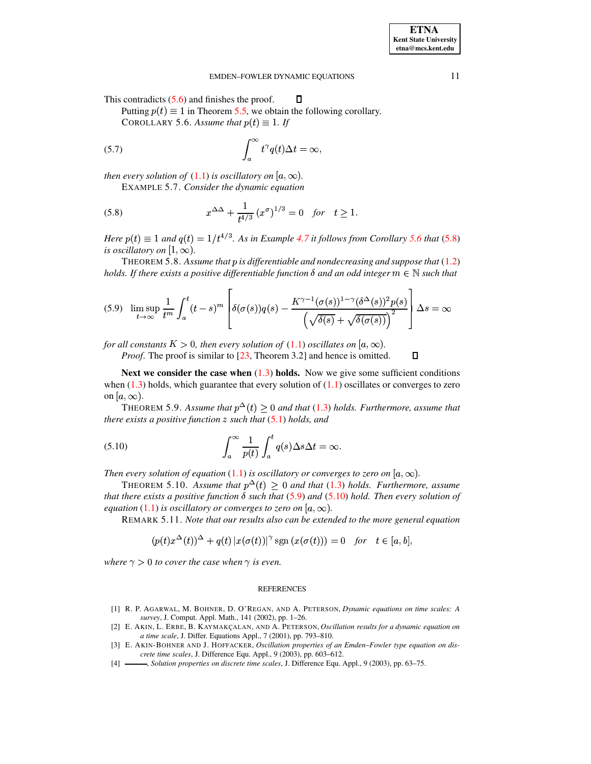<span id="page-10-6"></span> $\Box$ 

#### EMDEN-FOWLER DYNAMIC EQUATIONS

<span id="page-10-5"></span> $\Box$ 

<span id="page-10-4"></span>This contradicts  $(5.6)$  and finishes the proof.

Putting  $p(t) \equiv 1$  in Theorem 5.5, we obtain the following corollary.

COROLLARY 5.6. Assume that  $p(t) \equiv 1$ . If

(5.7) 
$$
\int_{a}^{\infty} t^{\gamma} q(t) \Delta t = \infty,
$$

then every solution of  $(1.1)$  is oscillatory on  $[a,\infty)$ .

EXAMPLE 5.7. Consider the dynamic equation

(5.8) 
$$
x^{\Delta\Delta} + \frac{1}{t^{4/3}} (x^{\sigma})^{1/3} = 0 \text{ for } t \ge 1
$$

Here  $p(t) \equiv 1$  and  $q(t) = 1/t^{4/3}$ . As in Example 4.7 it follows from Corollary 5.6 that (5.8) is oscillatory on  $[1, \infty)$ .

THEOREM 5.8. Assume that  $p$  is differentiable and nondecreasing and suppose that  $(1.2)$ holds. If there exists a positive differentiable function  $\delta$  and an odd integer  $m \in \mathbb{N}$  such that

$$
(5.9) \quad \limsup_{t \to \infty} \frac{1}{t^m} \int_a^t (t-s)^m \left[ \delta(\sigma(s))q(s) - \frac{K^{\gamma - 1}(\sigma(s))^{1 - \gamma} (\delta^{\Delta}(s))^2 p(s)}{\left(\sqrt{\delta(s)} + \sqrt{\delta(\sigma(s))}\right)^2} \right] \Delta s = \infty
$$

for all constants  $K > 0$ , then every solution of (1.1) oscillates on  $[a, \infty)$ .

<span id="page-10-7"></span>*Proof.* The proof is similar to [23, Theorem 3.2] and hence is omitted.

Next we consider the case when  $(1.3)$  holds. Now we give some sufficient conditions when  $(1.3)$  holds, which guarantee that every solution of  $(1.1)$  oscillates or converges to zero on  $[a,\infty)$ .

THEOREM 5.9. Assume that  $p^{\Delta}(t) \geq 0$  and that (1.3) holds. Furthermore, assume that there exists a positive function  $z$  such that  $(5.1)$  holds, and

(5.10) 
$$
\int_{a}^{\infty} \frac{1}{p(t)} \int_{a}^{t} q(s) \Delta s \Delta t = \infty
$$

Then every solution of equation (1.1) is oscillatory or converges to zero on  $[a,\infty)$ .

THEOREM 5.10. Assume that  $p^{\Delta}(t) \ge 0$  and that (1.3) holds. Furthermore, assume that there exists a positive function  $\delta$  such that (5.9) and (5.10) hold. Then every solution of equation (1.1) is oscillatory or converges to zero on  $[a,\infty)$ .

REMARK 5.11. Note that our results also can be extended to the more general equation

$$
(p(t)x^{\Delta}(t))^{\Delta} + q(t) |x(\sigma(t))|^{\gamma} \operatorname{sgn}(x(\sigma(t))) = 0 \quad \text{for} \quad t \in [a, b],
$$

where  $\gamma > 0$  to cover the case when  $\gamma$  is even.

#### **REFERENCES**

- <span id="page-10-0"></span>[1] R. P. AGARWAL, M. BOHNER, D. O'REGAN, AND A. PETERSON, Dynamic equations on time scales: A survey, J. Comput. Appl. Math., 141 (2002), pp. 1-26.
- <span id="page-10-1"></span>[2] E. AKIN, L. ERBE, B. KAYMAKÇALAN, AND A. PETERSON, Oscillation results for a dynamic equation on a time scale, J. Differ. Equations Appl., 7 (2001), pp. 793-810.
- <span id="page-10-2"></span>[3] E. AKIN-BOHNER AND J. HOFFACKER, Oscillation properties of an Emden-Fowler type equation on discrete time scales, J. Difference Equ. Appl., 9 (2003), pp. 603-612.
- <span id="page-10-3"></span> $[4]$  – -, Solution properties on discrete time scales, J. Difference Equ. Appl., 9 (2003), pp. 63-75.

11